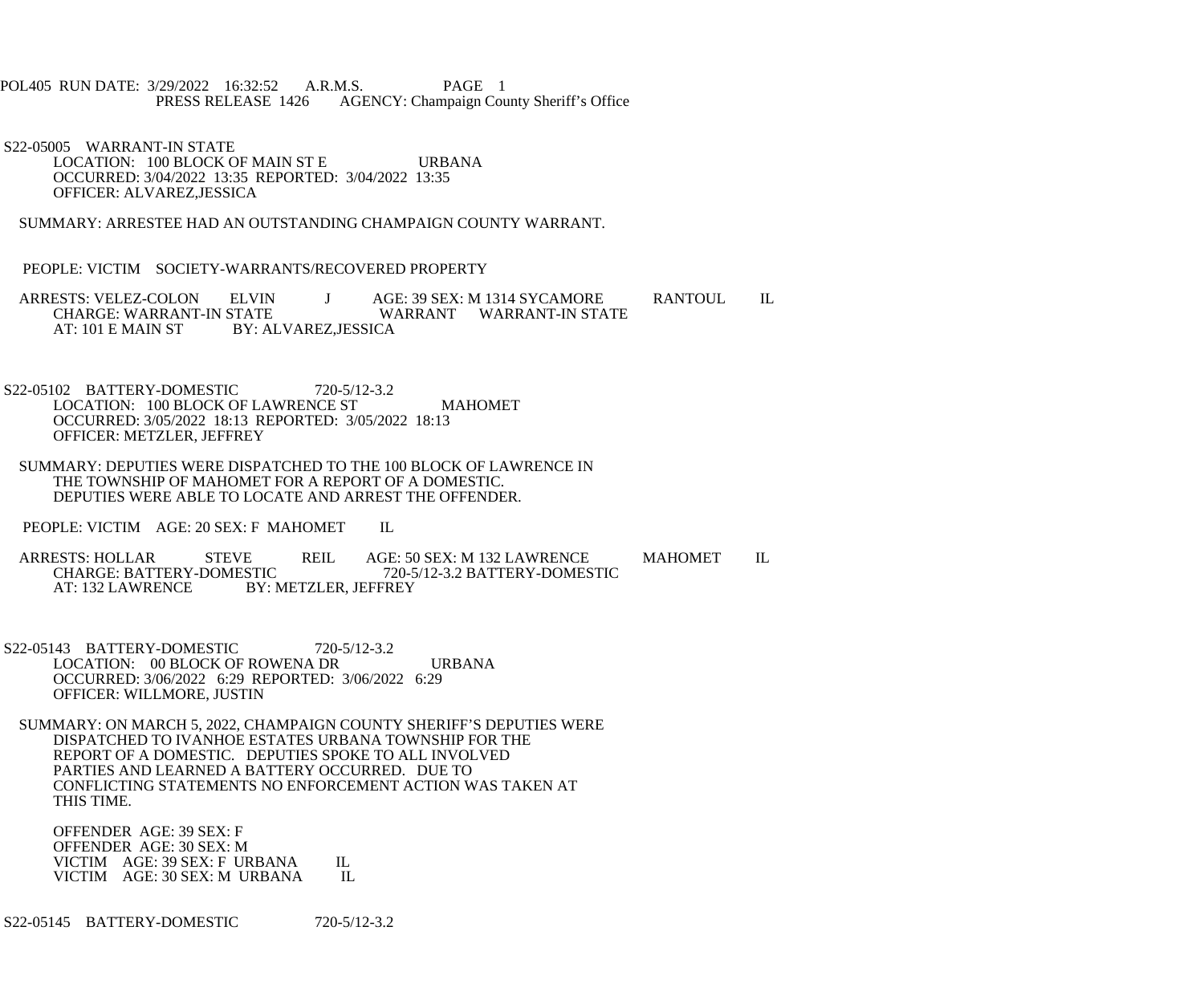## POL405 RUN DATE: 3/29/2022 16:32:52 A.R.M.S. PAGE 1 PRESS RELEASE 1426 AGENCY: Champaign County Sheriff's Office

 S22-05005 WARRANT-IN STATE LOCATION: 100 BLOCK OF MAIN ST E URBANA OCCURRED: 3/04/2022 13:35 REPORTED: 3/04/2022 13:35 OFFICER: ALVAREZ,JESSICA

SUMMARY: ARRESTEE HAD AN OUTSTANDING CHAMPAIGN COUNTY WARRANT.

PEOPLE: VICTIM SOCIETY-WARRANTS/RECOVERED PROPERTY

ARRESTS: VELEZ-COLON ELVIN J AGE: 39 SEX: M 1314 SYCAMORE RANTOUL IL<br>CHARGE: WARRANT-IN STATE WARRANT WARRANT-IN STATE CHARGE: WARRANT-IN STATE WARRANT WARRANT-IN STATE<br>AT: 101 E MAIN ST BY: ALVAREZ.JESSICA BY: ALVAREZ, JESSICA

- S22-05102 BATTERY-DOMESTIC 720-5/12-3.2 LOCATION: 100 BLOCK OF LAWRENCE ST MAHOMET OCCURRED: 3/05/2022 18:13 REPORTED: 3/05/2022 18:13 OFFICER: METZLER, JEFFREY
- SUMMARY: DEPUTIES WERE DISPATCHED TO THE 100 BLOCK OF LAWRENCE IN THE TOWNSHIP OF MAHOMET FOR A REPORT OF A DOMESTIC. DEPUTIES WERE ABLE TO LOCATE AND ARREST THE OFFENDER.

PEOPLE: VICTIM AGE: 20 SEX: F MAHOMET IL

ARRESTS: HOLLAR STEVE REIL AGE: 50 SEX: M 132 LAWRENCE MAHOMET IL<br>CHARGE: BATTERY-DOMESTIC 720-5/12-3.2 BATTERY-DOMESTIC CHARGE: BATTERY-DOMESTIC 720-5/12-3.2 BATTERY-DOMESTIC<br>AT: 132 LAWRENCE BY: METZLER. JEFFREY BY: METZLER, JEFFREY

- S22-05143 BATTERY-DOMESTIC 720-5/12-3.2 LOCATION: 00 BLOCK OF ROWENA DR URBANA OCCURRED: 3/06/2022 6:29 REPORTED: 3/06/2022 6:29 OFFICER: WILLMORE, JUSTIN
- SUMMARY: ON MARCH 5, 2022, CHAMPAIGN COUNTY SHERIFF'S DEPUTIES WERE DISPATCHED TO IVANHOE ESTATES URBANA TOWNSHIP FOR THE REPORT OF A DOMESTIC. DEPUTIES SPOKE TO ALL INVOLVED PARTIES AND LEARNED A BATTERY OCCURRED. DUE TO CONFLICTING STATEMENTS NO ENFORCEMENT ACTION WAS TAKEN AT THIS TIME.

 OFFENDER AGE: 39 SEX: F OFFENDER AGE: 30 SEX: M VICTIM AGE: 39 SEX: F URBANA IL<br>VICTIM AGE: 30 SEX: M URBANA IL VICTIM AGE: 30 SEX: M URBANA

S22-05145 BATTERY-DOMESTIC 720-5/12-3.2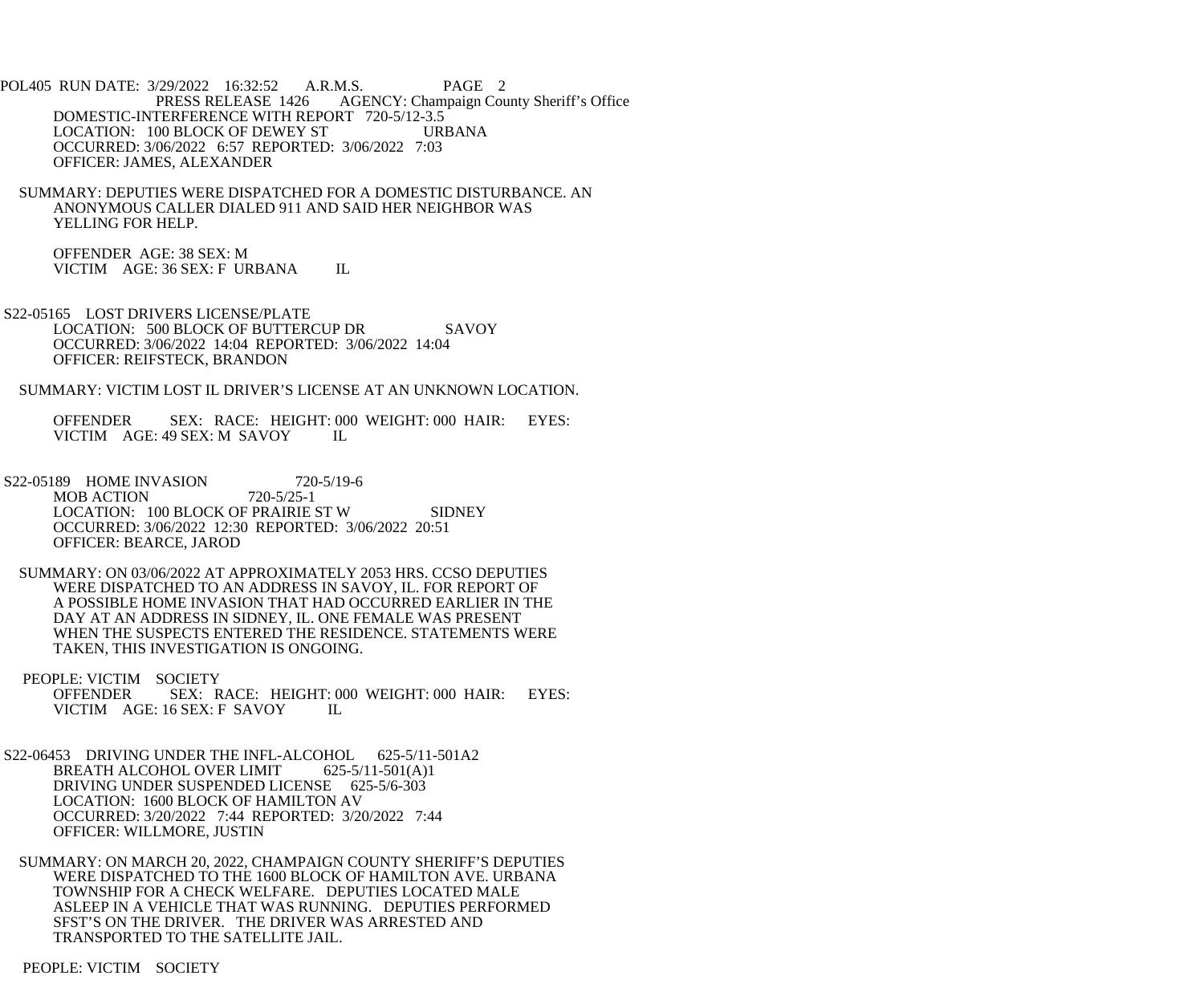- POL405 RUN DATE: 3/29/2022 16:32:52 A.R.M.S. PAGE 2 PRESS RELEASE 1426 AGENCY: Champaign County Sheriff's Office DOMESTIC-INTERFERENCE WITH REPORT 720-5/12-3.5 LOCATION: 100 BLOCK OF DEWEY ST URBANA OCCURRED: 3/06/2022 6:57 REPORTED: 3/06/2022 7:03 OFFICER: JAMES, ALEXANDER
	- SUMMARY: DEPUTIES WERE DISPATCHED FOR A DOMESTIC DISTURBANCE. AN ANONYMOUS CALLER DIALED 911 AND SAID HER NEIGHBOR WAS YELLING FOR HELP.
		- OFFENDER AGE: 38 SEX: M VICTIM AGE: 36 SEX: F URBANA IL
- S22-05165 LOST DRIVERS LICENSE/PLATE LOCATION: 500 BLOCK OF BUTTERCUP DR SAVOY OCCURRED: 3/06/2022 14:04 REPORTED: 3/06/2022 14:04 OFFICER: REIFSTECK, BRANDON
- SUMMARY: VICTIM LOST IL DRIVER'S LICENSE AT AN UNKNOWN LOCATION.
	- OFFENDER SEX: RACE: HEIGHT: 000 WEIGHT: 000 HAIR: EYES: VICTIM AGE: 49 SEX: M SAVOY IL
- S22-05189 HOME INVASION 720-5/19-6<br>MOB ACTION 720-5/25-1 MOB ACTION LOCATION: 100 BLOCK OF PRAIRIE ST W SIDNEY OCCURRED: 3/06/2022 12:30 REPORTED: 3/06/2022 20:51 OFFICER: BEARCE, JAROD
- SUMMARY: ON 03/06/2022 AT APPROXIMATELY 2053 HRS. CCSO DEPUTIES WERE DISPATCHED TO AN ADDRESS IN SAVOY, IL. FOR REPORT OF A POSSIBLE HOME INVASION THAT HAD OCCURRED EARLIER IN THE DAY AT AN ADDRESS IN SIDNEY, IL. ONE FEMALE WAS PRESENT WHEN THE SUSPECTS ENTERED THE RESIDENCE. STATEMENTS WERE TAKEN, THIS INVESTIGATION IS ONGOING.
- PEOPLE: VICTIM SOCIETY OFFENDER SEX: RACE: HEIGHT: 000 WEIGHT: 000 HAIR: EYES:<br>VICTIM AGE: 16 SEX: F SAVOY IL VICTIM AGE: 16 SEX: F SAVOY
- S22-06453 DRIVING UNDER THE INFL-ALCOHOL 625-5/11-501A2 BREATH ALCOHOL OVER LIMIT 625-5/11-501(A)1 DRIVING UNDER SUSPENDED LICENSE 625-5/6-303 LOCATION: 1600 BLOCK OF HAMILTON AV OCCURRED: 3/20/2022 7:44 REPORTED: 3/20/2022 7:44 OFFICER: WILLMORE, JUSTIN
- SUMMARY: ON MARCH 20, 2022, CHAMPAIGN COUNTY SHERIFF'S DEPUTIES WERE DISPATCHED TO THE 1600 BLOCK OF HAMILTON AVE. URBANA TOWNSHIP FOR A CHECK WELFARE. DEPUTIES LOCATED MALE ASLEEP IN A VEHICLE THAT WAS RUNNING. DEPUTIES PERFORMED SFST'S ON THE DRIVER. THE DRIVER WAS ARRESTED AND TRANSPORTED TO THE SATELLITE JAIL.

PEOPLE: VICTIM SOCIETY